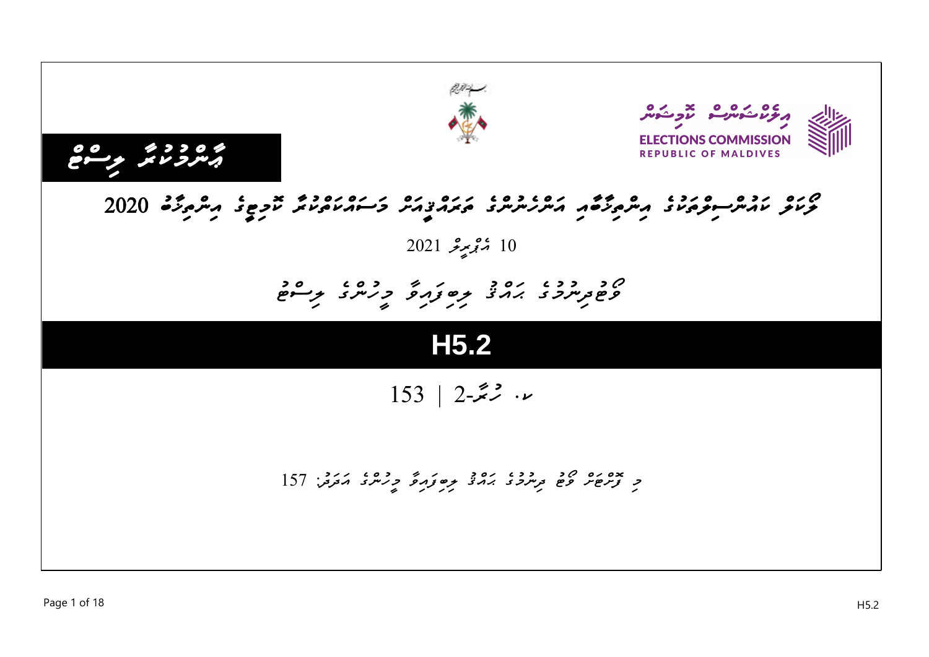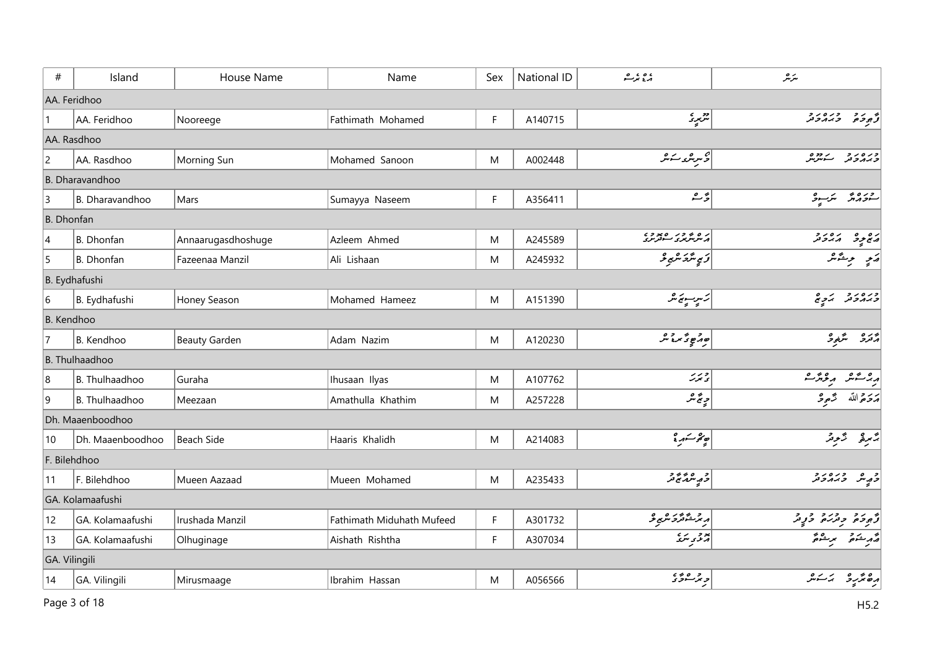| #              | Island           | House Name           | Name                      | Sex       | National ID | ، ه ، پر <u>ه</u>                        | ىئرىتر                                                    |
|----------------|------------------|----------------------|---------------------------|-----------|-------------|------------------------------------------|-----------------------------------------------------------|
|                | AA. Feridhoo     |                      |                           |           |             |                                          |                                                           |
|                | AA. Feridhoo     | Nooreege             | Fathimath Mohamed         | F         | A140715     | دو<br>سرسری                              | و د د دره د د                                             |
|                | AA. Rasdhoo      |                      |                           |           |             |                                          |                                                           |
| 2              | AA. Rasdhoo      | Morning Sun          | Mohamed Sanoon            | M         | A002448     | ئۇ بىر بىرى <b>س</b> ىر كەنگە            | سەمىرىر<br>و ر ه ر د<br><del>و</del> بر پر <del>و</del> ر |
|                | B. Dharavandhoo  |                      |                           |           |             |                                          |                                                           |
| 3              | B. Dharavandhoo  | Mars                 | Sumayya Naseem            | F         | A356411     | ۇ شە                                     | شرەرە ئىرسو                                               |
| B. Dhonfan     |                  |                      |                           |           |             |                                          |                                                           |
| $\overline{4}$ | B. Dhonfan       | Annaarugasdhoshuge   | Azleem Ahmed              | M         | A245589     | ر ۵ پر ۶ ر ۵ پر ۶<br>پرسرسربری سوترس     | رەپورە ئەرەپى<br>ئەنەبەرە ئەرەپەر                         |
| 5              | B. Dhonfan       | Fazeenaa Manzil      | Ali Lishaan               | M         | A245932     | ۇ <sub>ئې</sub> ئ <sup>ى</sup> ر ئىشى ئى |                                                           |
|                | B. Eydhafushi    |                      |                           |           |             |                                          |                                                           |
| 6              | B. Eydhafushi    | Honey Season         | Mohamed Hameez            | ${\sf M}$ | A151390     | ائەمەر<br>——————                         | ورەر در دې                                                |
| B. Kendhoo     |                  |                      |                           |           |             |                                          |                                                           |
| 7              | B. Kendhoo       | <b>Beauty Garden</b> | Adam Nazim                | M         | A120230     | ەرمىي ئىسى مىلى<br>مەنبە ئىسى            | پوره ش <sub>خ</sub> ور<br>مر <i>در سر<sub>خ</sub>و</i> ر  |
|                | B. Thulhaadhoo   |                      |                           |           |             |                                          |                                                           |
| 8              | B. Thulhaadhoo   | Guraha               | Ihusaan Ilyas             | M         | A107762     | ح مربر<br>مح <b>س</b> رتر                | ورقستهر ووثره                                             |
| 9              | B. Thulhaadhoo   | Meezaan              | Amathulla Khathim         | M         | A257228     | حەي تىر                                  | برزة الله بمحمود                                          |
|                | Dh. Maaenboodhoo |                      |                           |           |             |                                          |                                                           |
| 10             | Dh. Maaenboodhoo | Beach Side           | Haaris Khalidh            | M         | A214083     | ھەمجەسىم دې                              | يمرة المعرقر                                              |
| F. Bilehdhoo   |                  |                      |                           |           |             |                                          |                                                           |
| 11             | F. Bilehdhoo     | Mueen Aazaad         | Mueen Mohamed             | ${\sf M}$ | A235433     | ج پ <i>ېر مرگ</i> ځ تر                   | ور ورەر د                                                 |
|                | GA. Kolamaafushi |                      |                           |           |             |                                          |                                                           |
| 12             | GA. Kolamaafushi | Irushada Manzil      | Fathimath Miduhath Mufeed | F         | A301732     | ىر بر شەئىرى سى بى                       |                                                           |
| $ 13\rangle$   | GA. Kolamaafushi | Olhuginage           | Aishath Rishtha           | F         | A307034     | پر دی سری                                |                                                           |
| GA. Vilingili  |                  |                      |                           |           |             |                                          |                                                           |
| 14             | GA. Vilingili    | Mirusmaage           | Ibrahim Hassan            | M         | A056566     | د برگ دی.<br>د برگستری                   | مەھرىرو بەسەس                                             |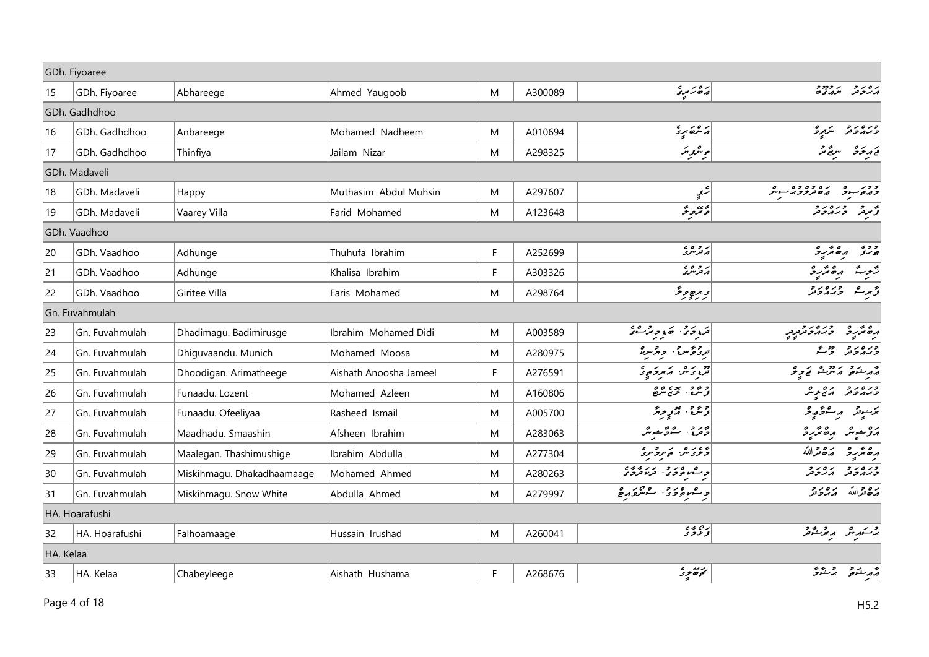|           | GDh. Fiyoaree  |                            |                        |   |         |                                           |                                             |
|-----------|----------------|----------------------------|------------------------|---|---------|-------------------------------------------|---------------------------------------------|
| 15        | GDh. Fiyoaree  | Abhareege                  | Ahmed Yaugoob          | M | A300089 | پره ئر سره                                | גפגר גרדר                                   |
|           | GDh. Gadhdhoo  |                            |                        |   |         |                                           |                                             |
| 16        | GDh. Gadhdhoo  | Anbareege                  | Mohamed Nadheem        | M | A010694 | بر مر <sub>ک</sub> تعری <sub>ک</sub>      |                                             |
| 17        | GDh. Gadhdhoo  | Thinfiya                   | Jailam Nizar           | M | A298325 | ويثندير                                   | 2007 - 1999<br>2007 - 1999<br>2007 - 1999   |
|           | GDh. Madaveli  |                            |                        |   |         |                                           |                                             |
| 18        | GDh. Madaveli  | Happy                      | Muthasim Abdul Muhsin  | M | A297607 | ترممچ                                     | وور - ه - ده وه وو.<br>حصوب د - صفر د در سر |
| 19        | GDh. Madaveli  | Vaarey Villa               | Farid Mohamed          | M | A123648 | ۇ ب <sub>ىئىم</sub> و ئىچە                | و دره دره                                   |
|           | GDh. Vaadhoo   |                            |                        |   |         |                                           |                                             |
| 20        | GDh. Vaadhoo   | Adhunge                    | Thuhufa Ibrahim        | F | A252699 | پر و ه پ                                  | $5 - 2 - 3 - 5$                             |
| 21        | GDh. Vaadhoo   | Adhunge                    | Khalisa Ibrahim        | F | A303326 | ەر دەپ                                    | توبة مقترة                                  |
| 22        | GDh. Vaadhoo   | Giritee Villa              | Faris Mohamed          | M | A298764 | <sub>ى</sub> بر ھ <sub>ا</sub> بۇ         | وٌ پرت وره د و                              |
|           | Gn. Fuvahmulah |                            |                        |   |         |                                           |                                             |
| 23        | Gn. Fuvahmulah | Dhadimagu. Badimirusge     | Ibrahim Mohamed Didi   | M | A003589 | لمَدوح <sup>و</sup> ، گاوچر شوی           | رە ئرىرە بەر ئەر ئورىر                      |
| 24        | Gn. Fuvahmulah | Dhiguvaandu. Munich        | Mohamed Moosa          | M | A280975 | مرد ځاسه به او د مربو                     | ورەرو دوغ                                   |
| 25        | Gn. Fuvahmulah | Dhoodigan. Arimatheege     | Aishath Anoosha Jameel | F | A276591 | أفرو كالله المبرخامي                      | مەر شىم كەنترىش قاچ ك                       |
| 26        | Gn. Fuvahmulah | Funaadu. Lozent            | Mohamed Azleen         | M | A160806 | و پرې سوي پره<br>بوسرو سوچ                | ورەرو رەپ                                   |
| 27        | Gn. Fuvahmulah | Funaadu. Ofeeliyaa         | Rasheed Ismail         | M | A005700 | و م <sup>ی د</sup> ېم د برخه د            | بمنصور برسفوه وعجموهم                       |
| 28        | Gn. Fuvahmulah | Maadhadu. Smaashin         | Afsheen Ibrahim        | M | A283063 | ۇرۇ، سۇڭسىر                               | أروحية مقتررة                               |
| 29        | Gn. Fuvahmulah | Maalegan. Thashimushige    | Ibrahim Abdulla        | M | A277304 | ويره وتردم                                | مەھەمگە ئەھەمراللە                          |
| 30        | Gn. Fuvahmulah | Miskihmagu. Dhakadhaamaage | Mohamed Ahmed          | M | A280263 | و سه ۱۶۷۵ در ۱۶۶۶<br>د سره دی تر ۱۶۶ تروی | ورەرو رەرو<br><i>ב</i> بەرۈنر <b>ب</b> ەر   |
| 31        | Gn. Fuvahmulah | Miskihmagu. Snow White     | Abdulla Ahmed          | M | A279997 | C CO CO CO C                              | رە قراللە بەر دىر                           |
|           | HA. Hoarafushi |                            |                        |   |         |                                           |                                             |
| 32        | HA. Hoarafushi | Falhoamaage                | Hussain Irushad        | M | A260041 | رەپ<br>ۋىزىرى                             | برسكريش ويرتثقن                             |
| HA. Kelaa |                |                            |                        |   |         |                                           |                                             |
| 33        | HA. Kelaa      | Chabeyleege                | Aishath Hushama        | F | A268676 | ري په<br>کوه تړ د                         | ۇر شۇم باشگە                                |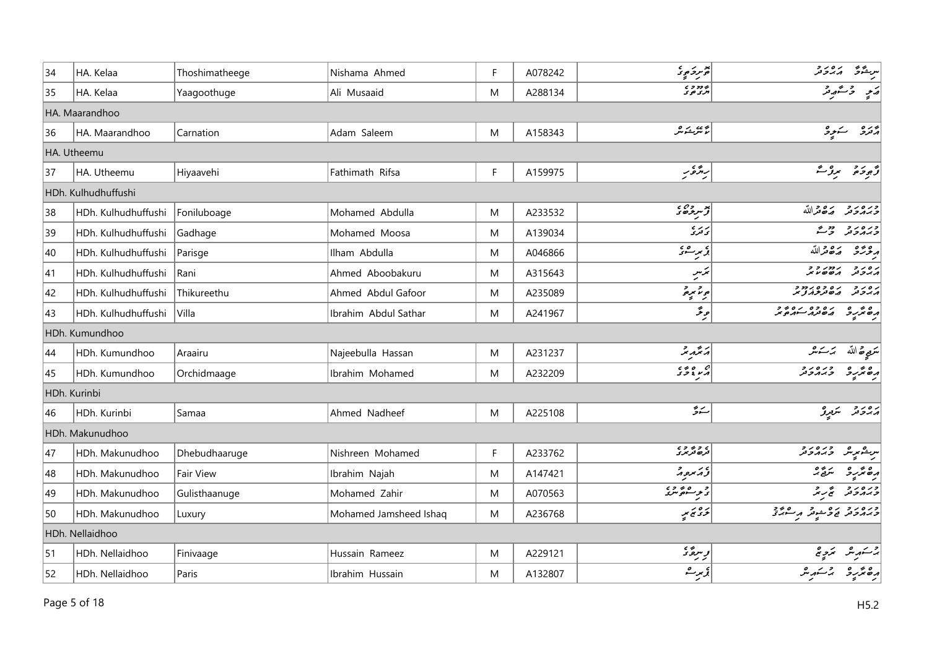| 34 | HA. Kelaa           | Thoshimatheege   | Nishama Ahmed          | F         | A078242 | پر<br>حومرچرمو <sup>چ</sup>                   | الرستون المرور و المراجعة<br>المرستون المراجعة                               |
|----|---------------------|------------------|------------------------|-----------|---------|-----------------------------------------------|------------------------------------------------------------------------------|
| 35 | HA. Kelaa           | Yaagoothuge      | Ali Musaaid            | M         | A288134 | ږ د د د د<br>پر د ه ي                         | أوسم والمستمرض                                                               |
|    | HA. Maarandhoo      |                  |                        |           |         |                                               |                                                                              |
| 36 | HA. Maarandhoo      | Carnation        | Adam Saleem            | ${\sf M}$ | A158343 | پە يەر يە<br>ئانترىشەنتر                      | پوره ستور <sup>ه</sup>                                                       |
|    | HA. Utheemu         |                  |                        |           |         |                                               |                                                                              |
| 37 | HA. Utheemu         | Hiyaavehi        | Fathimath Rifsa        | F         | A159975 | ىرەژچە بە                                     | ۋە ئەڭ بىرۇڭ                                                                 |
|    | HDh. Kulhudhuffushi |                  |                        |           |         |                                               |                                                                              |
| 38 | HDh. Kulhudhuffushi | Foniluboage      | Mohamed Abdulla        | M         | A233532 | اپو پیروه د<br>او سربره د                     | وره رو ره دالله                                                              |
| 39 | HDh. Kulhudhuffushi | Gadhage          | Mohamed Moosa          | M         | A139034 | ر ر ،<br>ى تىرى                               | ور ەر د<br>ت <i>ر</i> گەنزىر                                                 |
| 40 | HDh. Kulhudhuffushi | Parisge          | Ilham Abdulla          | M         | A046866 | ې <sub>مور</sub> ه په<br>بو موسسونه           | مرورة مكافرالله                                                              |
| 41 | HDh. Kulhudhuffushi | l Rani           | Ahmed Aboobakuru       | M         | A315643 | برسر                                          | נפני נמניי                                                                   |
| 42 | HDh. Kulhudhuffushi | Thikureethu      | Ahmed Abdul Gafoor     | M         | A235089 | ە ئەتىرە<br>ئىرىم                             | ג ס ג כ נגס כ ס ג בר כ<br>ג ג כ ב ג ה ה ש تو ב ל ב                           |
| 43 | HDh. Kulhudhuffushi | $ V$ illa        | Ibrahim Abdul Sathar   | M         | A241967 | حرقحر                                         | ם מים נפכס נפיב<br>גם מים גם מגביי את מים                                    |
|    | HDh. Kumundhoo      |                  |                        |           |         |                                               |                                                                              |
| 44 | HDh. Kumundhoo      | Araairu          | Najeebulla Hassan      | ${\sf M}$ | A231237 | مەئىيە بىر                                    | سَمِيحِ حُهُ اللّه مَ سَـرَ مَثَر                                            |
| 45 | HDh. Kumundhoo      | Orchidmaage      | Ibrahim Mohamed        | ${\sf M}$ | A232209 |                                               |                                                                              |
|    | HDh. Kurinbi        |                  |                        |           |         |                                               |                                                                              |
| 46 | HDh. Kurinbi        | Samaa            | Ahmed Nadheef          | M         | A225108 | سەۋ                                           | رەر پەرتو                                                                    |
|    | HDh. Makunudhoo     |                  |                        |           |         |                                               |                                                                              |
| 47 | HDh. Makunudhoo     | Dhebudhaaruge    | Nishreen Mohamed       | F         | A233762 | ے و بر و ے<br>تر <i>حہ تر</i> بر <sub>ک</sub> |                                                                              |
| 48 | HDh. Makunudhoo     | <b>Fair View</b> | Ibrahim Najah          | M         | A147421 | ومجمعره                                       | سرشو پر مرد دره در ور<br>سرشو پر مرد در در در در<br>دره تر پر در در در در در |
| 49 | HDh. Makunudhoo     | Gulisthaanuge    | Mohamed Zahir          | M         | A070563 | د و هو ده.<br>د مر شمو مرد                    |                                                                              |
| 50 | HDh. Makunudhoo     | Luxury           | Mohamed Jamsheed Ishaq | M         | A236768 | ره ر<br>حری تم س                              | ورەر و رەپ دەرەپەر                                                           |
|    | HDh. Nellaidhoo     |                  |                        |           |         |                                               |                                                                              |
| 51 | HDh. Nellaidhoo     | Finivaage        | Hussain Rameez         | ${\sf M}$ | A229121 | وسرة كا                                       | جام میں مرد ہے<br>ماسم مرد مرد ہے<br>ماسمبرد باسکویٹر                        |
| 52 | HDh. Nellaidhoo     | Paris            | Ibrahim Hussain        | M         | A132807 | ې<br>بوسر مشر                                 |                                                                              |
|    |                     |                  |                        |           |         |                                               |                                                                              |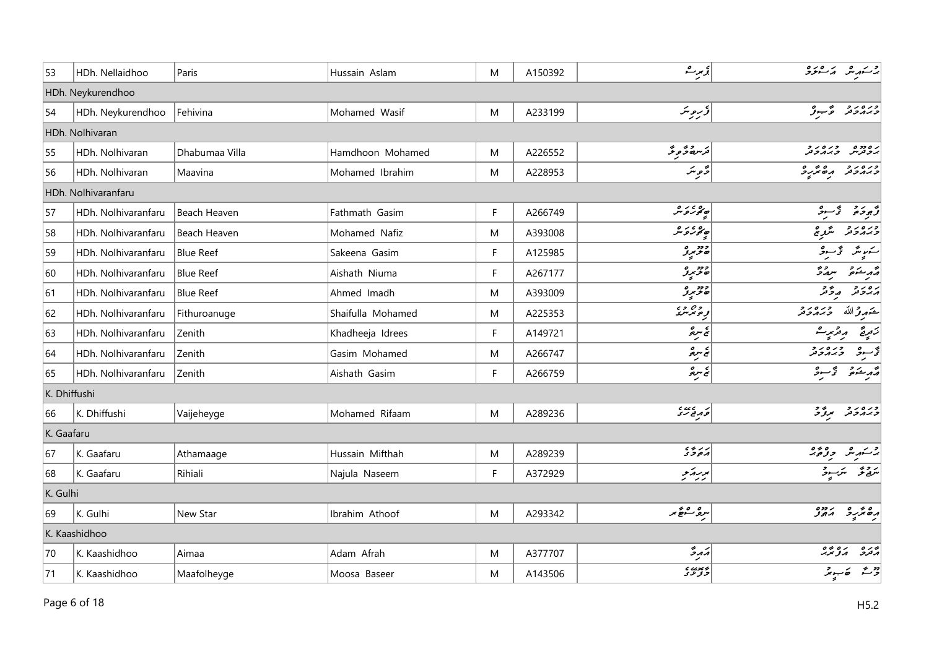| 53           | HDh. Nellaidhoo     | Paris            | Hussain Aslam     | M           | A150392 | ا <sub>ن</sub> گو مرے<br>م      | برسكر شراع ويره                                                                                                                                                                                                                                                                                                                                                                                                                                                                                |
|--------------|---------------------|------------------|-------------------|-------------|---------|---------------------------------|------------------------------------------------------------------------------------------------------------------------------------------------------------------------------------------------------------------------------------------------------------------------------------------------------------------------------------------------------------------------------------------------------------------------------------------------------------------------------------------------|
|              | HDh. Neykurendhoo   |                  |                   |             |         |                                 |                                                                                                                                                                                                                                                                                                                                                                                                                                                                                                |
|              | HDh. Neykurendhoo   | Fehivina         | Mohamed Wasif     | M           | A233199 |                                 | ورەرو ئەبدۇ                                                                                                                                                                                                                                                                                                                                                                                                                                                                                    |
| 54           |                     |                  |                   |             |         | ڈروبئر                          |                                                                                                                                                                                                                                                                                                                                                                                                                                                                                                |
|              | HDh. Nolhivaran     |                  |                   |             |         |                                 |                                                                                                                                                                                                                                                                                                                                                                                                                                                                                                |
| 55           | HDh. Nolhivaran     | Dhabumaa Villa   | Hamdhoon Mohamed  | M           | A226552 | ىرس <i>ىقۇ ئو</i> ق             | ر ס כפס פי פי פי<br>ג פנתיות וכי ג הפי ב                                                                                                                                                                                                                                                                                                                                                                                                                                                       |
| 56           | HDh. Nolhivaran     | Maavina          | Mohamed Ibrahim   | M           | A228953 | ۇ <sub>جوىتى</sub>              | כנהכת הפתיכ                                                                                                                                                                                                                                                                                                                                                                                                                                                                                    |
|              | HDh. Nolhivaranfaru |                  |                   |             |         |                                 |                                                                                                                                                                                                                                                                                                                                                                                                                                                                                                |
| 57           | HDh. Nolhivaranfaru | Beach Heaven     | Fathmath Gasim    | F           | A266749 | ەم ئەرەپە<br>ئەم                | توجوجو تخسو                                                                                                                                                                                                                                                                                                                                                                                                                                                                                    |
| 58           | HDh. Nolhivaranfaru | Beach Heaven     | Mohamed Nafiz     | M           | A393008 | ە ئەرەپەر<br>ئ                  | ورەرو شرح                                                                                                                                                                                                                                                                                                                                                                                                                                                                                      |
| 59           | HDh. Nolhivaranfaru | <b>Blue Reef</b> | Sakeena Gasim     | F           | A125985 | و دو ده<br>ن <i>ه م</i> حر پولو | سەر تەرەپىسى ئۆسىدۇ.<br>مەمۇرىي ئۆسىدۇر                                                                                                                                                                                                                                                                                                                                                                                                                                                        |
| 60           | HDh. Nolhivaranfaru | <b>Blue Reef</b> | Aishath Niuma     | F           | A267177 | ە دىر دە<br>ھۆسمەتى             |                                                                                                                                                                                                                                                                                                                                                                                                                                                                                                |
| 61           | HDh. Nolhivaranfaru | <b>Blue Reef</b> | Ahmed Imadh       | M           | A393009 | و دور ه<br>حومور                | $\begin{array}{cc} \hline \rule{0pt}{2.5ex} & \circ & \circ & \circ \\ \hline \rule{0pt}{2.5ex} & \circ & \circ & \circ \\ \hline \rule{0pt}{2.5ex} & \circ & \circ & \circ \\ \hline \rule{0pt}{2.5ex} & \circ & \circ & \circ \\ \hline \rule{0pt}{2.5ex} & \circ & \circ & \circ \\ \hline \rule{0pt}{2.5ex} & \circ & \circ & \circ \\ \hline \rule{0pt}{2.5ex} & \circ & \circ & \circ \\ \hline \rule{0pt}{2.5ex} & \circ & \circ & \circ \\ \hline \rule{0pt}{2.5ex} & \circ & \circ &$ |
| 62           | HDh. Nolhivaranfaru | Fithuroanuge     | Shaifulla Mohamed | M           | A225353 | وه ده ده                        |                                                                                                                                                                                                                                                                                                                                                                                                                                                                                                |
| 63           | HDh. Nolhivaranfaru | Zenith           | Khadheeja Idrees  | F           | A149721 | ې سره<br>م                      |                                                                                                                                                                                                                                                                                                                                                                                                                                                                                                |
| 64           | HDh. Nolhivaranfaru | Zenith           | Gasim Mohamed     | M           | A266747 | ې سرچ                           | <u>يتهرو الله وترورو ويدار المريد ويدار المريد ويدار المريد ويدار المريد ويدار المريد ويدار المريد ويدار المريد و</u><br>ترميد المريد ويدار ويدار ويدار ويدار ويدار ويدار ويدار ويدار ويدار ويدار ويدار ويدار ويدار ويدار ويدار ويدار                                                                                                                                                                                                                                                          |
| 65           | HDh. Nolhivaranfaru | Zenith           | Aishath Gasim     | $\mathsf F$ | A266759 | ې سرچ<br>م                      | ومرشوم تخ سوفر                                                                                                                                                                                                                                                                                                                                                                                                                                                                                 |
| K. Dhiffushi |                     |                  |                   |             |         |                                 |                                                                                                                                                                                                                                                                                                                                                                                                                                                                                                |
| 66           | K. Dhiffushi        | Vaijeheyge       | Mohamed Rifaam    | M           | A289236 | ر<br>ح د مع ر د                 | כנים ניביק<br>בגבביה יתצב                                                                                                                                                                                                                                                                                                                                                                                                                                                                      |
| K. Gaafaru   |                     |                  |                   |             |         |                                 |                                                                                                                                                                                                                                                                                                                                                                                                                                                                                                |
| 67           | K. Gaafaru          | Athamaage        | Hussain Mifthah   | M           | A289239 | ر ر » ><br>  پره د د            |                                                                                                                                                                                                                                                                                                                                                                                                                                                                                                |
| 68           | K. Gaafaru          | Rihiali          | Najula Naseem     | F           | A372929 | برر پر تر<br>ر                  |                                                                                                                                                                                                                                                                                                                                                                                                                                                                                                |
| K. Gulhi     |                     |                  |                   |             |         |                                 |                                                                                                                                                                                                                                                                                                                                                                                                                                                                                                |
| 69           | K. Gulhi            | New Star         | Ibrahim Athoof    | M           | A293342 | سرە ئەھمىر                      | ת בית כי החר                                                                                                                                                                                                                                                                                                                                                                                                                                                                                   |
|              | K. Kaashidhoo       |                  |                   |             |         |                                 |                                                                                                                                                                                                                                                                                                                                                                                                                                                                                                |
| 70           | K. Kaashidhoo       | Aimaa            | Adam Afrah        | M           | A377707 | رسمریح                          | پەرە<br>مەنىرى<br>برە بەر                                                                                                                                                                                                                                                                                                                                                                                                                                                                      |
| 71           | K. Kaashidhoo       | Maafolheyge      | Moosa Baseer      | M           | A143506 | ه پون<br>ترتو لر <sub>ک</sub>   | $\frac{2}{3}$ + $\frac{2}{9}$                                                                                                                                                                                                                                                                                                                                                                                                                                                                  |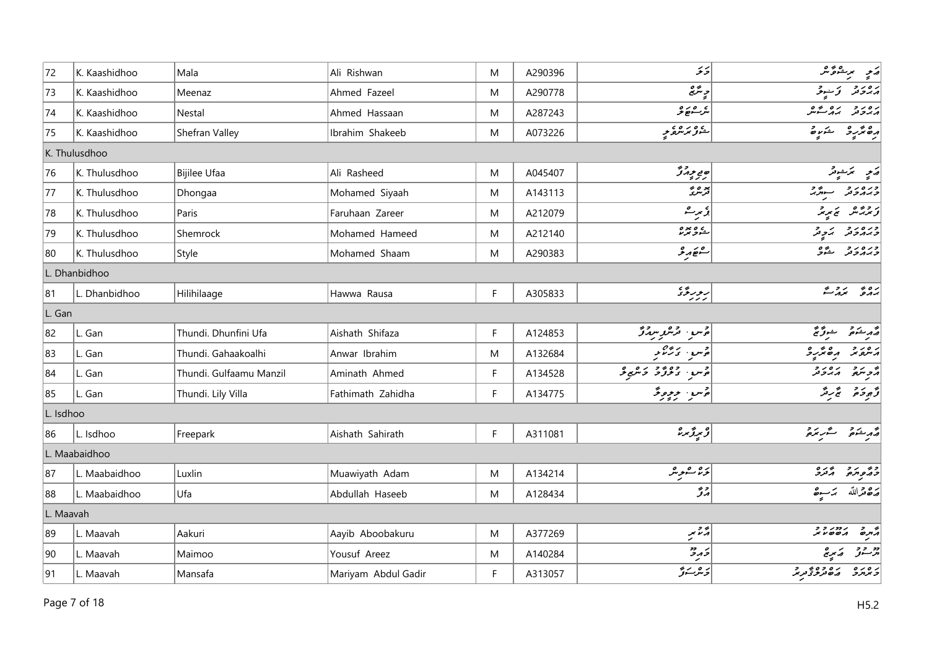| 72           | K. Kaashidhoo | Mala                    | Ali Rishwan         | ${\sf M}$ | A290396 | ىزى                                                     | ر<br>مۇستىر بىر شەھ                                                                                                                                                                                                                                                                                                              |
|--------------|---------------|-------------------------|---------------------|-----------|---------|---------------------------------------------------------|----------------------------------------------------------------------------------------------------------------------------------------------------------------------------------------------------------------------------------------------------------------------------------------------------------------------------------|
| 73           | K. Kaashidhoo | Meenaz                  | Ahmed Fazeel        | M         | A290778 | حريثره                                                  | دەرد تەنبەتى                                                                                                                                                                                                                                                                                                                     |
| 74           | K. Kaashidhoo | Nestal                  | Ahmed Hassaan       | ${\sf M}$ | A287243 | ىر <u>مەم</u> ئۇ                                        | رەرو رە مەر                                                                                                                                                                                                                                                                                                                      |
| 75           | K. Kaashidhoo | Shefran Valley          | Ibrahim Shakeeb     | ${\sf M}$ | A073226 | ر ، <i>و بر ه</i> ، <sub>و</sub>                        | رەئزىر شىرە                                                                                                                                                                                                                                                                                                                      |
|              | K. Thulusdhoo |                         |                     |           |         |                                                         |                                                                                                                                                                                                                                                                                                                                  |
| 76           | K. Thulusdhoo | <b>Bijilee Ufaa</b>     | Ali Rasheed         | ${\sf M}$ | A045407 | اھ بے موہر تو<br><u>سر</u> پر                           | أركمني المرتشوش                                                                                                                                                                                                                                                                                                                  |
| 77           | K. Thulusdhoo | Dhongaa                 | Mohamed Siyaah      | M         | A143113 | پو ه په                                                 |                                                                                                                                                                                                                                                                                                                                  |
| 78           | K. Thulusdhoo | Paris                   | Faruhaan Zareer     | M         | A212079 | وسمريثه                                                 | ز دوم په پر د                                                                                                                                                                                                                                                                                                                    |
| 79           | K. Thulusdhoo | Shemrock                | Mohamed Hameed      | ${\sf M}$ | A212140 | ره و بره<br>شور برنا                                    | כנסנב גבע<br>כגובנג גבע                                                                                                                                                                                                                                                                                                          |
| 80           | K. Thulusdhoo | <b>Style</b>            | Mohamed Shaam       | ${\sf M}$ | A290383 | سقطوعه                                                  | وره رو دره<br>وبرورو شگو                                                                                                                                                                                                                                                                                                         |
|              | L. Dhanbidhoo |                         |                     |           |         |                                                         |                                                                                                                                                                                                                                                                                                                                  |
| 81           | L. Dhanbidhoo | Hilihilaage             | Hawwa Rausa         | F         | A305833 | ارورودي<br><u>رور</u> ود                                | بره پر پر                                                                                                                                                                                                                                                                                                                        |
| L. Gan       |               |                         |                     |           |         |                                                         |                                                                                                                                                                                                                                                                                                                                  |
| 82           | L. Gan        | Thundi. Dhunfini Ufa    | Aishath Shifaza     | F         | A124853 |                                                         |                                                                                                                                                                                                                                                                                                                                  |
| 83           | L. Gan        | Thundi. Gahaakoalhi     | Anwar Ibrahim       | M         | A132684 | مۇسىز- قەشتىر سىدۇ.<br>مۇسىز- ئەنەمىر<br>مۇسىز- ئەنەمىر |                                                                                                                                                                                                                                                                                                                                  |
| 84           | L. Gan        | Thundi. Gulfaamu Manzil | Aminath Ahmed       | F         | A134528 | وسوم ووود ومره و                                        |                                                                                                                                                                                                                                                                                                                                  |
| 85           | L. Gan        | Thundi. Lily Villa      | Fathimath Zahidha   | F         | A134775 | ە<br>مەسىن مومومۇ                                       | قەدىقى ئى بەتتە                                                                                                                                                                                                                                                                                                                  |
| L. Isdhoo    |               |                         |                     |           |         |                                                         |                                                                                                                                                                                                                                                                                                                                  |
| 86           | L. Isdhoo     | Freepark                | Aishath Sahirath    | F         | A311081 | ژىپەرىمىدى                                              | ۇرىشى شرىرد                                                                                                                                                                                                                                                                                                                      |
|              | L. Maabaidhoo |                         |                     |           |         |                                                         |                                                                                                                                                                                                                                                                                                                                  |
| 87           | L. Maabaidhoo | Luxlin                  | Muawiyath Adam      | ${\sf M}$ | A134214 | ئەن شوپىر                                               | כלפולק העב                                                                                                                                                                                                                                                                                                                       |
| 88           | L. Maabaidhoo | Ufa                     | Abdullah Haseeb     | ${\sf M}$ | A128434 | دبج                                                     | مَدْهُ مَّدْ اللَّهُ مَ سِيقَ                                                                                                                                                                                                                                                                                                    |
| L. Maavah    |               |                         |                     |           |         |                                                         |                                                                                                                                                                                                                                                                                                                                  |
| 89           | L. Maavah     | Aakuri                  | Aayib Aboobakuru    | ${\sf M}$ | A377269 | رچمنو                                                   | 77777<br>أثرمرة                                                                                                                                                                                                                                                                                                                  |
| $ 90\rangle$ | L. Maavah     | Maimoo                  | Yousuf Areez        | ${\sf M}$ | A140284 | $\stackrel{37}{\phantom{1}5}$                           | $\begin{array}{ccc} 0 & 0 & 0 & 0 \\ 0 & 0 & 0 & 0 \\ 0 & 0 & 0 & 0 \\ 0 & 0 & 0 & 0 \\ 0 & 0 & 0 & 0 \\ 0 & 0 & 0 & 0 \\ 0 & 0 & 0 & 0 \\ 0 & 0 & 0 & 0 \\ 0 & 0 & 0 & 0 \\ 0 & 0 & 0 & 0 \\ 0 & 0 & 0 & 0 \\ 0 & 0 & 0 & 0 \\ 0 & 0 & 0 & 0 & 0 \\ 0 & 0 & 0 & 0 & 0 \\ 0 & 0 & 0 & 0 & 0 \\ 0 & 0 & 0 & 0 & 0 \\ 0 & 0 & 0 &$ |
| 91           | L. Maavah     | Mansafa                 | Mariyam Abdul Gadir | F         | A313057 | ئە ھەسە <mark>ر</mark> ئ                                | נ סנים נפיפים בי                                                                                                                                                                                                                                                                                                                 |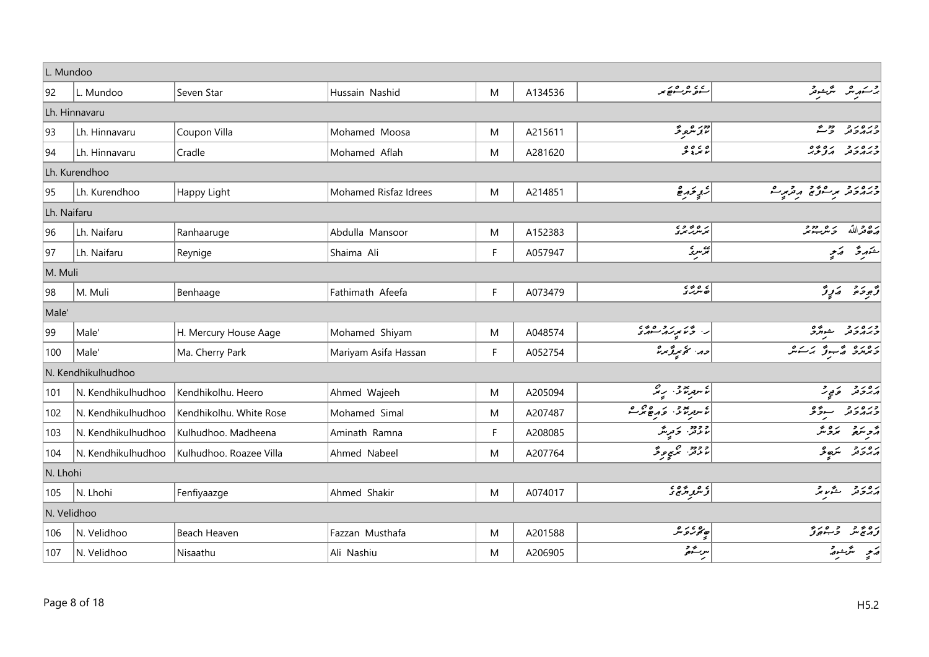| L. Mundoo   |                    |                         |                              |   |         |                            |                                                |
|-------------|--------------------|-------------------------|------------------------------|---|---------|----------------------------|------------------------------------------------|
| 92          | L. Mundoo          | Seven Star              | Hussain Nashid               | M | A134536 | ے ، مرد ع                  | برسكور مرشوتر                                  |
|             | Lh. Hinnavaru      |                         |                              |   |         |                            |                                                |
| 93          | Lh. Hinnavaru      | Coupon Villa            | Mohamed Moosa                | M | A215611 | پېژ مر <sub>عب</sub> و مخه | وره دو دور                                     |
| 94          | Lh. Hinnavaru      | Cradle                  | Mohamed Aflah                | M | A281620 | ه ، ه ه<br>پرې م           | כנסנכ נספס<br>כממכת הנבמ                       |
|             | Lh. Kurendhoo      |                         |                              |   |         |                            |                                                |
| 95          | Lh. Kurendhoo      | Happy Light             | <b>Mohamed Risfaz Idrees</b> | M | A214851 | تحجي بخرم هج               | ورەرو برسۇنج مەرىپە                            |
| Lh. Naifaru |                    |                         |                              |   |         |                            |                                                |
| 96          | Lh. Naifaru        | Ranhaaruge              | Abdulla Mansoor              | M | A152383 | ر ه بر د ،<br>بر مرگ بری   | أرەقمەلله كەردور                               |
| 97          | Lh. Naifaru        | Reynige                 | Shaima Ali                   | F | A057947 | عجسرته                     | خنهری اړمي                                     |
| M. Muli     |                    |                         |                              |   |         |                            |                                                |
| 98          | M. Muli            | Benhaage                | Fathimath Afeefa             | F | A073479 | ړ ه پر <sup>ي</sup>        | رَّجْوَدَةُ صَوِرَّ                            |
| Male'       |                    |                         |                              |   |         |                            |                                                |
| 99          | Male'              | H. Mercury House Aage   | Mohamed Shiyam               | M | A048574 | ر په نوم پر در ۲۵۵ و       | ورەر د شەرگە<br><i>دىدە</i> دىر شەر <i>گ</i> ە |
| 100         | Male'              | Ma. Cherry Park         | Mariyam Asifa Hassan         | E | A052754 | در گورگر گر                | גינים היית גבית                                |
|             | N. Kendhikulhudhoo |                         |                              |   |         |                            |                                                |
| 101         | N. Kendhikulhudhoo | Kendhikolhu. Heero      | Ahmed Wajeeh                 | M | A205094 | ع سرمریز کی اس میں<br>م    | رەرد كەرد                                      |
| 102         | N. Kendhikulhudhoo | Kendhikolhu. White Rose | Mohamed Simal                | M | A207487 |                            |                                                |
| 103         | N. Kendhikulhudhoo | Kulhudhoo. Madheena     | Aminath Ramna                | F | A208085 | ءوور    ئورىگر             | أأوسكة الروائر                                 |
| 104         | N. Kendhikulhudhoo | Kulhudhoo. Roazee Villa | Ahmed Nabeel                 | M | A207764 | ر دود.<br>عرفر گرم دیگر    | رەرو شھۇ                                       |
| N. Lhohi    |                    |                         |                              |   |         |                            |                                                |
| 105         | N. Lhohi           | Fenfiyaazge             | Ahmed Shakir                 | M | A074017 | ې ه <sub>رم</sub> وړې      | دەرو ئىرو                                      |
|             | N. Velidhoo        |                         |                              |   |         |                            |                                                |
| 106         | N. Velidhoo        | Beach Heaven            | Fazzan Musthafa              | M | A201588 | پەنزىر ق                   | رەپ د دەرپ<br>زېرىش دىبوتى                     |
| 107         | N. Velidhoo        | Nisaathu                | Ali Nashiu                   | M | A206905 | اسريحيح                    | أقدمي المتنجية                                 |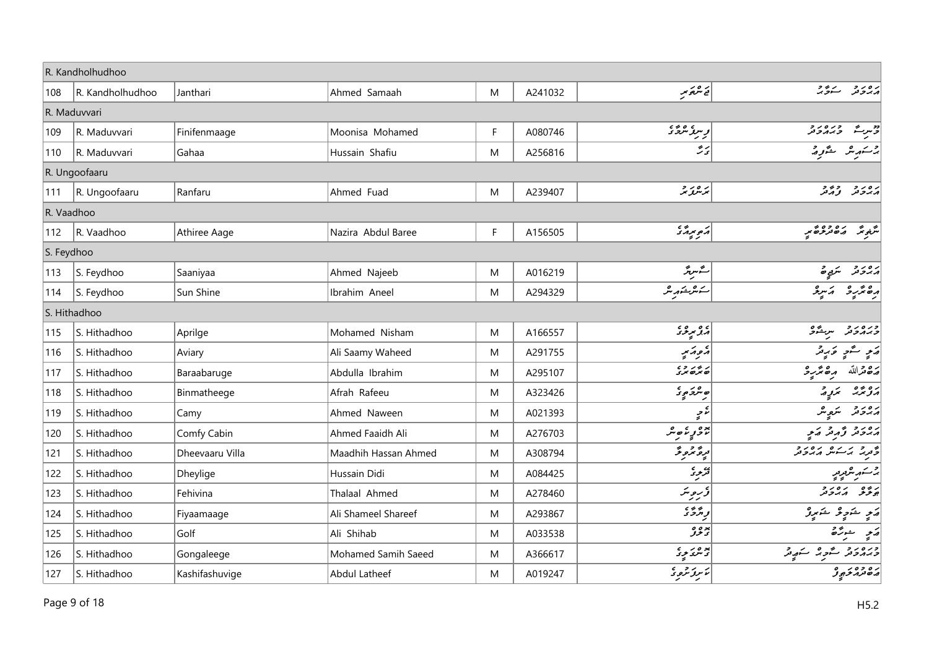|            | R. Kandholhudhoo |                 |                      |           |         |                                   |                                               |
|------------|------------------|-----------------|----------------------|-----------|---------|-----------------------------------|-----------------------------------------------|
| 108        | R. Kandholhudhoo | Janthari        | Ahmed Samaah         | M         | A241032 | ئے سرچ پر                         | رەرو سەرو                                     |
|            | R. Maduvvari     |                 |                      |           |         |                                   |                                               |
| 109        | R. Maduvvari     | Finifenmaage    | Moonisa Mohamed      | F         | A080746 | ار سرو مرد و در د                 |                                               |
| 110        | R. Maduvvari     | Gahaa           | Hussain Shafiu       | M         | A256816 | ىرچ                               | מת היי בגופנים<br>בתה בגופנים<br>בהונים בינום |
|            | R. Ungoofaaru    |                 |                      |           |         |                                   |                                               |
| 111        | R. Ungoofaaru    | Ranfaru         | Ahmed Fuad           | M         | A239407 | ىر ھەر جە                         | رەر دەر                                       |
|            | R. Vaadhoo       |                 |                      |           |         |                                   |                                               |
| 112        | R. Vaadhoo       | Athiree Aage    | Nazira Abdul Baree   | F         | A156505 | پر مورژ د<br>  پر مورژ د          | شهر مەمدىق بر                                 |
| S. Feydhoo |                  |                 |                      |           |         |                                   |                                               |
| 113        | S. Feydhoo       | Saaniyaa        | Ahmed Najeeb         | ${\sf M}$ | A016219 | سەّسرىد                           | رەر ئىرىمى ئە                                 |
| 114        | S. Feydhoo       | Sun Shine       | Ibrahim Aneel        | ${\sf M}$ | A294329 | سەنى <i>رىدى</i> رىش              |                                               |
|            | S. Hithadhoo     |                 |                      |           |         |                                   |                                               |
| 115        | S. Hithadhoo     | Aprilge         | Mohamed Nisham       | M         | A166557 | پروسوچ                            | ورەرو سرشگو<br><mark>وبەرونە س</mark> رشگو    |
| 116        | S. Hithadhoo     | Aviary          | Ali Saamy Waheed     | M         | A291755 | وكحرو تميم                        | پر په سنگنې توکيږ تر                          |
| 117        | S. Hithadhoo     | Baraabaruge     | Abdulla Ibrahim      | M         | A295107 | ر پور و ،<br>ت <i>ه بو</i> نه بود | أرەقماللە مەھمگەي                             |
| 118        | S. Hithadhoo     | Binmatheege     | Afrah Rafeeu         | M         | A323426 | ھ مرد مو<br>پر                    | أروعه ترويم                                   |
| 119        | S. Hithadhoo     | Camy            | Ahmed Naween         | M         | A021393 | ء<br>موج                          | أرور و سكوپى                                  |
| 120        | S. Hithadhoo     | Comfy Cabin     | Ahmed Faaidh Ali     | M         | A276703 | پروړ ئومبر                        | أبروج ومردته أيمي                             |
| 121        | S. Hithadhoo     | Dheevaaru Villa | Maadhih Hassan Ahmed | M         | A308794 | ىرە ئەرە ئە                       | وتمرج بمسكس مدوور                             |
| 122        | S. Hithadhoo     | Dheylige        | Hussain Didi         | M         | A084425 | ەر<br>قرىرى                       | پر سەمە بىر <sub>قىرى</sub> ر                 |
| 123        | S. Hithadhoo     | Fehivina        | Thalaal Ahmed        | M         | A278460 | ۇ <sub>مرحو</sub> مىگە            | ر ده در در در د                               |
| 124        | S. Hithadhoo     | Fiyaamaage      | Ali Shameel Shareef  | M         | A293867 | و پژڅ <sup>ي</sup>                | ړَر د د د د د د                               |
| 125        | S. Hithadhoo     | Golf            | Ali Shihab           | M         | A033538 | بره ه<br>د <del>گر</del> ن        | ر<br>درم شرگره<br>در                          |
| 126        | S. Hithadhoo     | Gongaleege      | Mohamed Samih Saeed  | M         | A366617 | د مرند پر د                       |                                               |
| 127        | S. Hithadhoo     | Kashifashuvige  | Abdul Latheef        | M         | A019247 | ئەس <i>رىۇ ترە</i> پچ             | ر ە دەر چ                                     |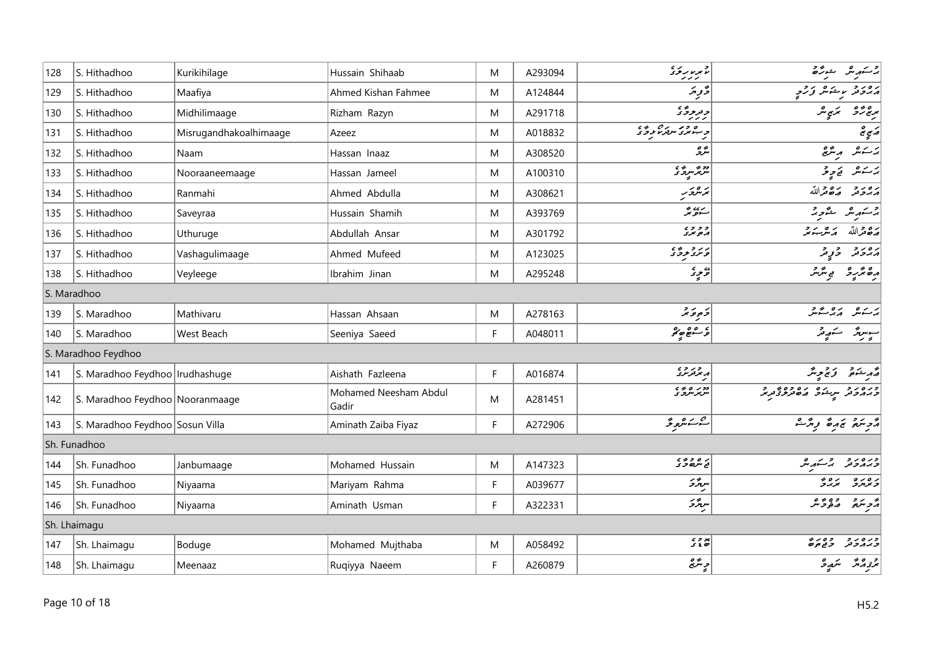| 128 | S. Hithadhoo                    | Kurikihilage           | Hussain Shihaab                | M           | A293094 | ر<br>سربر بریوی<br>سربر بر                                                            |                                                                                                         |
|-----|---------------------------------|------------------------|--------------------------------|-------------|---------|---------------------------------------------------------------------------------------|---------------------------------------------------------------------------------------------------------|
| 129 | S. Hithadhoo                    | Maafiya                | Ahmed Kishan Fahmee            | M           | A124844 | ژٌ پورتر                                                                              |                                                                                                         |
| 130 | S. Hithadhoo                    | Midhilimaage           | Rizham Razyn                   | M           | A291718 | ا د درود د ؟<br><u>د د د</u> د د                                                      |                                                                                                         |
| 131 | S. Hithadhoo                    | Misrugandhakoalhimaage | Azeez                          | M           | A018832 | ە دەرىرە دەر<br>دىبەيرى سەركا لارى                                                    | $\overset{o}{\varepsilon}$ g sa                                                                         |
| 132 | S. Hithadhoo                    | Naam                   | Hassan Inaaz                   | M           | A308520 | سرچ                                                                                   | برسكش مرشع                                                                                              |
| 133 | S. Hithadhoo                    | Nooraaneemaage         | Hassan Jameel                  | M           | A100310 | دو د ده ده<br>سرپرسرد د                                                               | أيُرْسَدُ فَيَحْوِمُ                                                                                    |
| 134 | S. Hithadhoo                    | Ranmahi                | Ahmed Abdulla                  | M           | A308621 | برجر تر                                                                               | بره برو بره درالله                                                                                      |
| 135 | S. Hithadhoo                    | Saveyraa               | Hussain Shamih                 | M           | A393769 | ر ، ، . »<br>سنوح س                                                                   | يرسكريش المشرور                                                                                         |
| 136 | S. Hithadhoo                    | Uthuruge               | Abdullah Ansar                 | M           | A301792 | د د د د<br>مرح برد                                                                    | رەقراللە مەشرىكى                                                                                        |
| 137 | S. Hithadhoo                    | Vashagulimaage         | Ahmed Mufeed                   | M           | A123025 | ر رو د و <sup>ه</sup> وی                                                              | دەر د دېد                                                                                               |
| 138 | S. Hithadhoo                    | Veyleege               | Ibrahim Jinan                  | M           | A295248 | اءِ موبر<br>ح                                                                         | رەتمەر ئوش                                                                                              |
|     | S. Maradhoo                     |                        |                                |             |         |                                                                                       |                                                                                                         |
| 139 | S. Maradhoo                     | Mathivaru              | Hassan Ahsaan                  | M           | A278163 | دَ موءَ مَدْ                                                                          | ىر كەش كەر بۇ ئەسىر                                                                                     |
| 140 | S. Maradhoo                     | West Beach             | Seeniya Saeed                  | $\mathsf F$ | A048011 | $\mathcal{S}_{\varphi}$ $\stackrel{\scriptscriptstyle\circ}{\scriptscriptstyle\circ}$ |                                                                                                         |
|     | S. Maradhoo Feydhoo             |                        |                                |             |         |                                                                                       |                                                                                                         |
| 141 | S. Maradhoo Feydhoo Irudhashuge |                        | Aishath Fazleena               | F           | A016874 | ر ور و ،<br>مرتد ترد                                                                  | أقهر يشكم وتجمج بثر                                                                                     |
| 142 | S. Maradhoo Feydhoo Nooranmaage |                        | Mohamed Neesham Abdul<br>Gadir | M           | A281451 | دور ه و »<br>سرپرسرچ ی                                                                | 2007 - مرد 2009 - 2019 - 2019 - 2019 - 2019 - 20<br>2010 - 2019 - 2019 - 2019 - 2019 - 2019 - 2019 - 20 |
| 143 | S. Maradhoo Feydhoo Sosun Villa |                        | Aminath Zaiba Fiyaz            | F           | A272906 | <u>ش ئەشرو ئى</u>                                                                     | مُرْدِسَمَ يَمْدِهُ وِمُرْتْ                                                                            |
|     | Sh. Funadhoo                    |                        |                                |             |         |                                                                                       |                                                                                                         |
| 144 | Sh. Funadhoo                    | Janbumaage             | Mohamed Hussain                | M           | A147323 | ر ه د و و ،<br>تع سرچ تر ی                                                            | ورەرو چەرش                                                                                              |
| 145 | Sh. Funadhoo                    | Niyaama                | Mariyam Rahma                  | F           | A039677 | سرپڑی                                                                                 | 2010 2010                                                                                               |
| 146 | Sh. Funadhoo                    | Niyaama                | Aminath Usman                  | F.          | A322331 | سردر                                                                                  | و ده ده وه ده و د                                                                                       |
|     | Sh. Lhaimagu                    |                        |                                |             |         |                                                                                       |                                                                                                         |
| 147 | Sh. Lhaimagu                    | Boduge                 | Mohamed Mujthaba               | M           | A058492 | پر و م<br>ن و ک                                                                       | و ر ه ر د<br><i>و بر</i> پر تر<br>و ه بر ځ<br>تر تو ځ                                                   |
| 148 | Sh. Lhaimagu                    | Meenaaz                | Ruqiyya Naeem                  | F           | A260879 | جریٹرچ                                                                                | برتومه شمرو                                                                                             |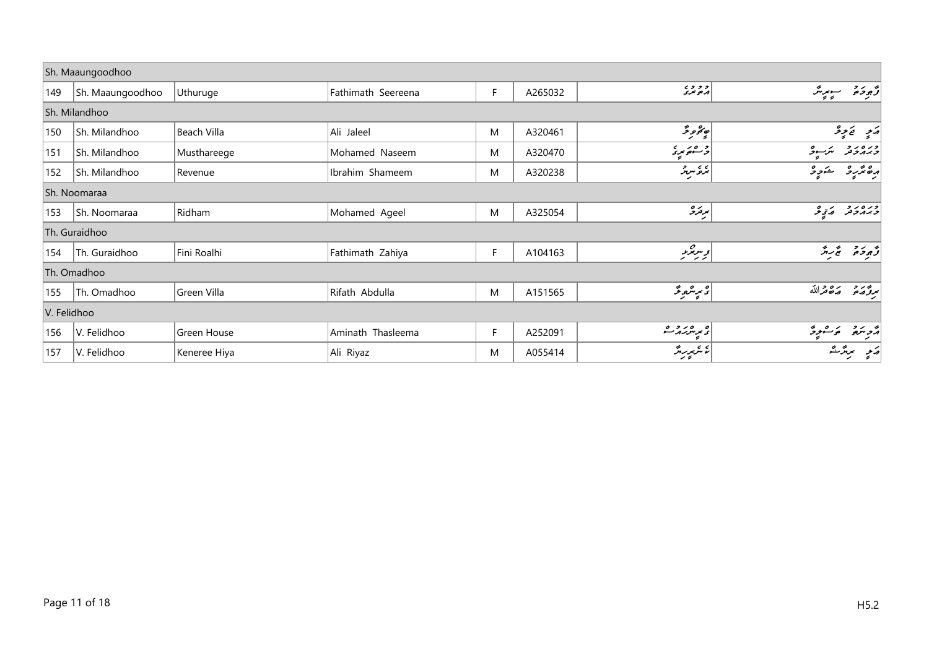|             | Sh. Maaungoodhoo |              |                    |   |         |                                  |                                           |
|-------------|------------------|--------------|--------------------|---|---------|----------------------------------|-------------------------------------------|
| 149         | Sh. Maaungoodhoo | Uthuruge     | Fathimath Seereena | F | A265032 | د د د ،<br>  پره مرد             | اؤُ جوحر و<br>سىدىدىگە<br>ئەنبۇ           |
|             | Sh. Milandhoo    |              |                    |   |         |                                  |                                           |
| 150         | Sh. Milandhoo    | Beach Villa  | Ali Jaleel         | M | A320461 | حەمح عرقى                        | ړَ په دَ پِر د                            |
| 151         | Sh. Milandhoo    | Musthareege  | Mohamed Naseem     | M | A320470 | ژ_ھوپر ء<br>  ژ_ھوپر ء           | وره رو په پرسول                           |
| 152         | Sh. Milandhoo    | Revenue      | Ibrahim Shameem    | M | A320238 | ے بے سرگر<br>محرک <i>ی س</i> رگر | ا پرځه تر په د<br>ستكور                   |
|             | Sh. Noomaraa     |              |                    |   |         |                                  |                                           |
| 153         | Sh. Noomaraa     | Ridham       | Mohamed Ageel      | M | A325054 | برترو                            | دره رو پر دی                              |
|             | Th. Guraidhoo    |              |                    |   |         |                                  |                                           |
| 154         | Th. Guraidhoo    | Fini Roalhi  | Fathimath Zahiya   | F | A104163 | و سرچرمهِ                        | في برو و محر محمد محمد المحمد             |
|             | Th. Omadhoo      |              |                    |   |         |                                  |                                           |
| 155         | Th. Omadhoo      | Green Villa  | Rifath Abdulla     | M | A151565 | دىمەيىتىموقە                     | صصرالله<br>بر د د د<br>بر تر <i>م</i> ر و |
| V. Felidhoo |                  |              |                    |   |         |                                  |                                           |
| 156         | V. Felidhoo      | Green House  | Aminath Thasleema  | F | A252091 | ه په <i>۱۶۷۴ و</i>               | ە ئەسەبەر<br>ړ د سره                      |
| 157         | V. Felidhoo      | Keneree Hiya | Ali Riyaz          | M | A055414 | ئەمىز پەرىتر<br>سىسىمە           | اړمو مرمر شو                              |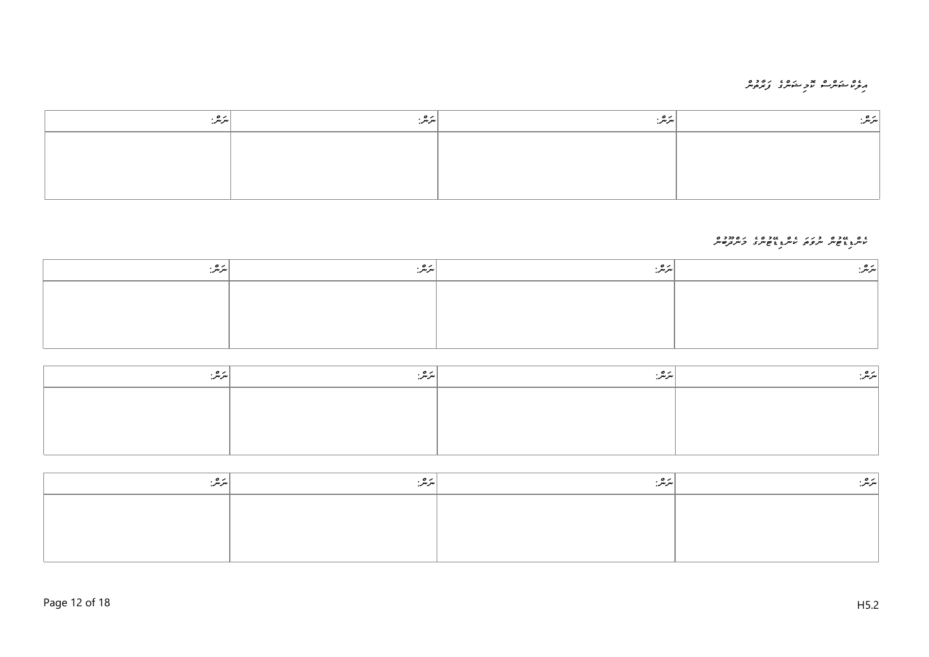## *w7qAn8m? sCw7mRo>u; wEw7mRw;sBo<*

| ' مرمر | 'يئرىثر: |
|--------|----------|
|        |          |
|        |          |
|        |          |

## *w7q9r@w7m> sCw7qHtFoFw7s; mAm=q7 w7qHtFoFw7s;*

| يئرمىش: | $^{\circ}$<br>. سر سر<br>$\cdot$ | $\circ$ $\sim$<br>-- | يئرمثر |
|---------|----------------------------------|----------------------|--------|
|         |                                  |                      |        |
|         |                                  |                      |        |
|         |                                  |                      |        |

| انترنثر: | $^{\circ}$ | يبرهر | $^{\circ}$<br>سرسر |
|----------|------------|-------|--------------------|
|          |            |       |                    |
|          |            |       |                    |
|          |            |       |                    |

| ىرتىر: | 。<br>سر سر | .,<br>مرسر |
|--------|------------|------------|
|        |            |            |
|        |            |            |
|        |            |            |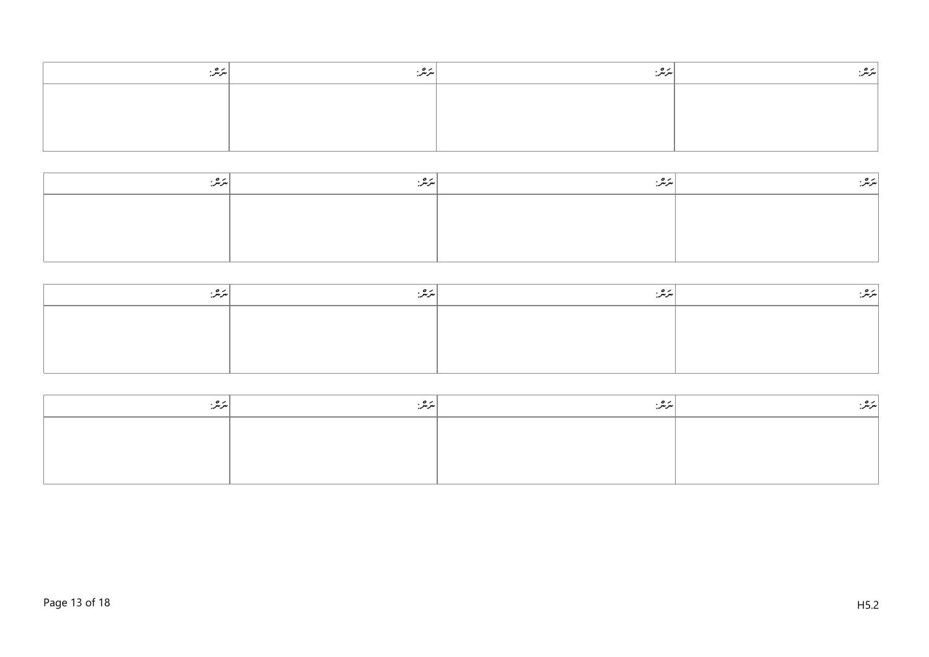| يزهر | $^{\circ}$ | ىئرىتر: |  |
|------|------------|---------|--|
|      |            |         |  |
|      |            |         |  |
|      |            |         |  |

| <sup>.</sup> سرسر. |  |
|--------------------|--|
|                    |  |
|                    |  |
|                    |  |

| ىئرىتر. | $\sim$ | ا بر هه. | لىرىش |
|---------|--------|----------|-------|
|         |        |          |       |
|         |        |          |       |
|         |        |          |       |

| 。<br>مرس. | $\overline{\phantom{a}}$<br>مر سر | يتريثر |
|-----------|-----------------------------------|--------|
|           |                                   |        |
|           |                                   |        |
|           |                                   |        |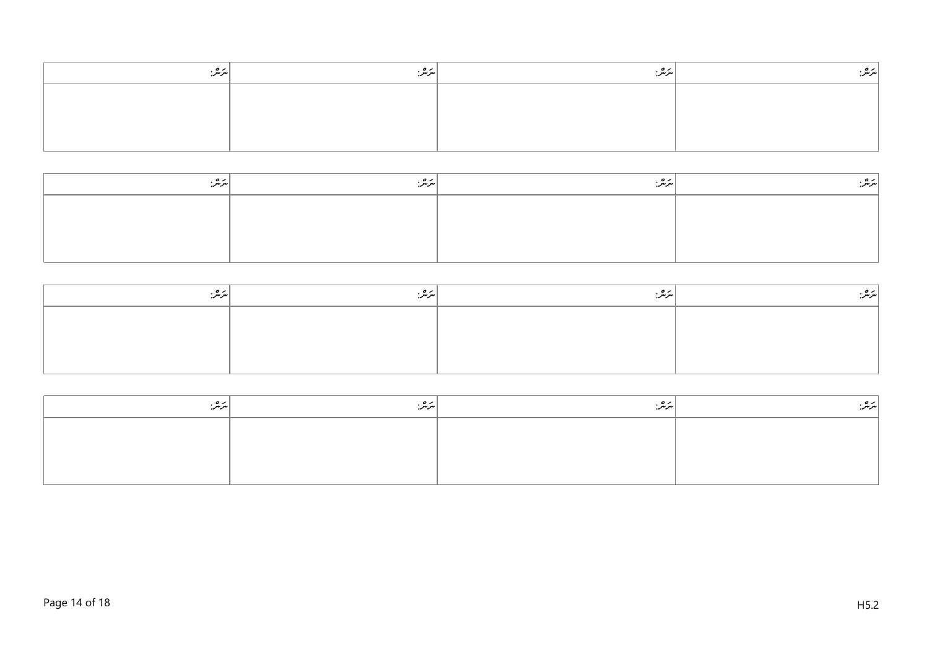| ير هو . | $\overline{\phantom{a}}$ | يرمر | اير هنه. |
|---------|--------------------------|------|----------|
|         |                          |      |          |
|         |                          |      |          |
|         |                          |      |          |

| ىر تىر: | $\circ$ $\sim$<br>" سرسر . | يبرحه | o . |
|---------|----------------------------|-------|-----|
|         |                            |       |     |
|         |                            |       |     |
|         |                            |       |     |

| انترنثر: | ر ه |  |
|----------|-----|--|
|          |     |  |
|          |     |  |
|          |     |  |

|  | . ه |
|--|-----|
|  |     |
|  |     |
|  |     |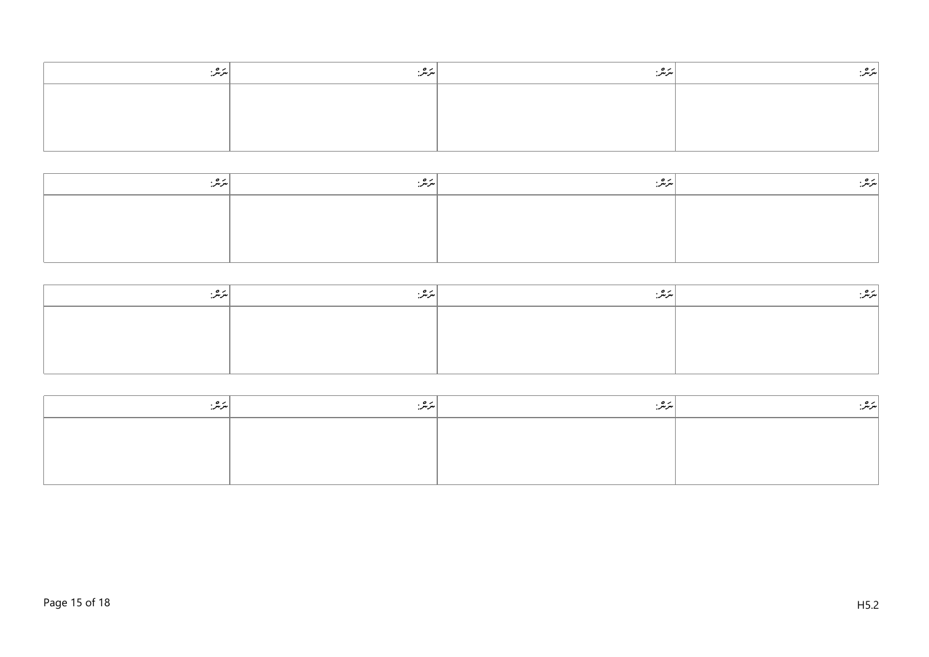| ير هو . | $\overline{\phantom{a}}$ | يرمر | اير هنه. |
|---------|--------------------------|------|----------|
|         |                          |      |          |
|         |                          |      |          |
|         |                          |      |          |

| ىر تىر: | $\circ$ $\sim$<br>" سرسر . | يبرحه | o . |
|---------|----------------------------|-------|-----|
|         |                            |       |     |
|         |                            |       |     |
|         |                            |       |     |

| 'تترنثر: | . .<br>يسمونس. |  |
|----------|----------------|--|
|          |                |  |
|          |                |  |
|          |                |  |

|  | . ه |
|--|-----|
|  |     |
|  |     |
|  |     |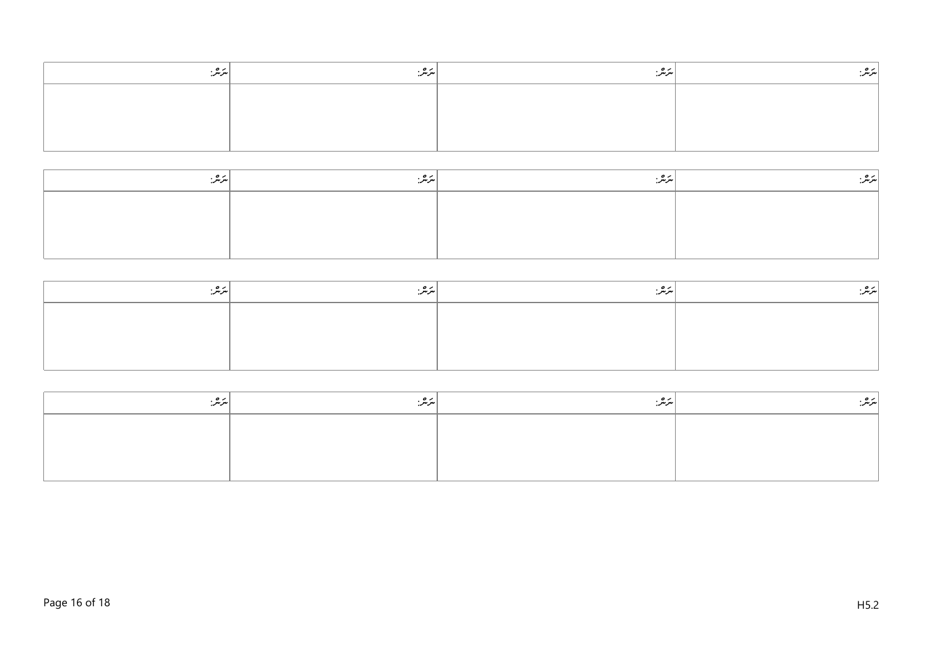| $\cdot$ | 。 | $\frac{\circ}{\cdot}$ | $\sim$<br>سرسر |
|---------|---|-----------------------|----------------|
|         |   |                       |                |
|         |   |                       |                |
|         |   |                       |                |

| يريثن | ' سرسر . |  |
|-------|----------|--|
|       |          |  |
|       |          |  |
|       |          |  |

| بر ه | . ه | $\sim$<br>سرسر |  |
|------|-----|----------------|--|
|      |     |                |  |
|      |     |                |  |
|      |     |                |  |

| 。<br>. س | ىرىىر |  |
|----------|-------|--|
|          |       |  |
|          |       |  |
|          |       |  |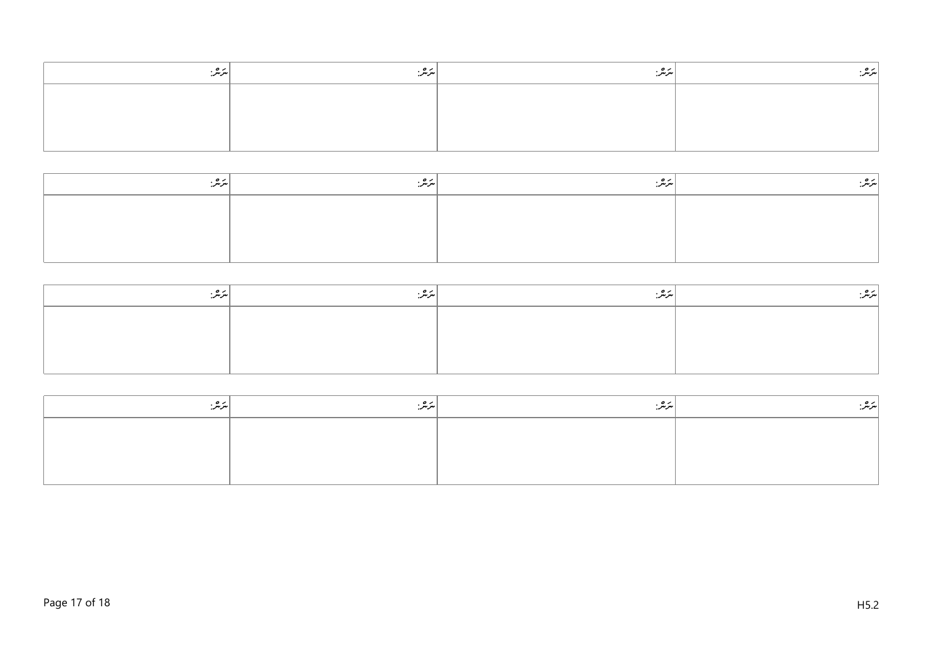| ير هو . | $\overline{\phantom{a}}$ | يرمر | اير هنه. |
|---------|--------------------------|------|----------|
|         |                          |      |          |
|         |                          |      |          |
|         |                          |      |          |

| ئىرتىر: | $\sim$<br>ا سرسر . | يئرمثر | o . |
|---------|--------------------|--------|-----|
|         |                    |        |     |
|         |                    |        |     |
|         |                    |        |     |

| 'تترنثر: | 。<br>,,,, |  |
|----------|-----------|--|
|          |           |  |
|          |           |  |
|          |           |  |

|  | . ه |
|--|-----|
|  |     |
|  |     |
|  |     |